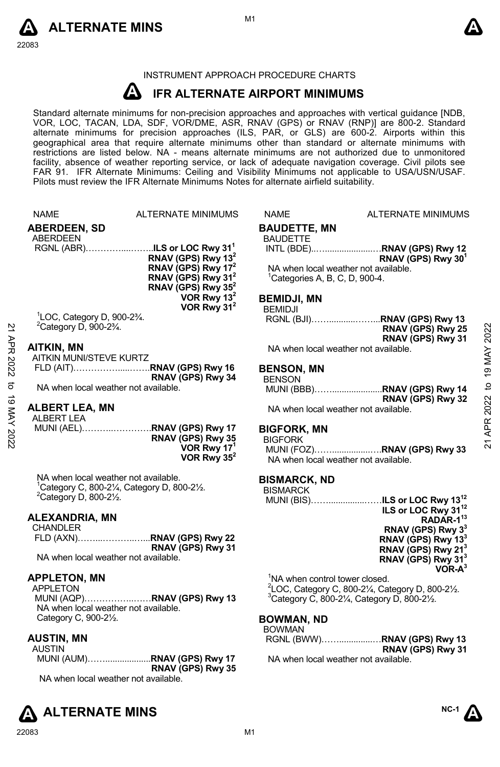



# INSTRUMENT APPROACH PROCEDURE CHARTS

#### **A IFR ALTERNATE AIRPORT MINIMUMS**

Standard alternate minimums for non-precision approaches and approaches with vertical guidance [NDB,<br>VOR, LOC, TACAN, LDA, SDF, VOR/DME, ASR, RNAV (GPS) or RNAV (RNP)] are 800-2. Standard alternate minimums for precision approaches (ILS, PAR, or GLS) are 600-2. Airports within this geographical area that require alternate minimums other than standard or alternate minimums with restrictions are listed below. NA - means alternate minimums are not authorized due to unmonitored facility, absence of weather reporting service, or lack of adequate navigation coverage. Civil pilots see FAR 91. IFR Alternate Minimums: Ceiling and Visibility Minimums not applicable to USA/USN/USAF. Pilots must review the IFR Alternate Minimums Notes for alternate airfield suitability.

|               | <b>NAME</b>                                                                                                                                            | ALTERNATE MINIMUMS                                                                                                                                                                        | <b>NAME</b>                                                                                                                                        | ALTERNATE MINIMUMS                                                                                                          |                 |
|---------------|--------------------------------------------------------------------------------------------------------------------------------------------------------|-------------------------------------------------------------------------------------------------------------------------------------------------------------------------------------------|----------------------------------------------------------------------------------------------------------------------------------------------------|-----------------------------------------------------------------------------------------------------------------------------|-----------------|
|               | <b>ABERDEEN, SD</b><br><b>ABERDEEN</b>                                                                                                                 | RGNL (ABR)ILS or LOC Rwy 31 <sup>1</sup><br>RNAV (GPS) Rwy 13 <sup>2</sup><br>RNAV (GPS) Rwy 17 <sup>2</sup><br>RNAV (GPS) Rwy 31 <sup>2</sup><br>RNAV (GPS) Rwy $35^2$<br>VOR Rwy $13^2$ | <b>BAUDETTE, MN</b><br><b>BAUDETTE</b><br>NA when local weather not available.<br><sup>1</sup> Categories A, B, C, D, 900-4.<br><b>BEMIDJI, MN</b> | RNAV (GPS) Rwy 30 <sup>1</sup>                                                                                              |                 |
|               | ${}^{1}$ LOC, Category D, 900-2 ${}^{3}$ / <sub>4</sub> .<br><sup>2</sup> Category D, 900-2 <sup>3</sup> / <sub>4</sub> .                              | VOR Rwy 31 <sup>2</sup>                                                                                                                                                                   | <b>BEMIDJI</b>                                                                                                                                     | RGNL (BJI)RNAV (GPS) Rwy 13<br>RNAV (GPS) Rwy 25                                                                            | 2022            |
| APR 2022      | <b>AITKIN, MN</b><br>AITKIN MUNI/STEVE KURTZ                                                                                                           |                                                                                                                                                                                           | NA when local weather not available.                                                                                                               | RNAV (GPS) Rwy 31                                                                                                           | 19 MAY          |
| ಕ             | NA when local weather not available.                                                                                                                   | FLD (AIT)RNAV (GPS) Rwy 16<br>RNAV (GPS) Rwy 34                                                                                                                                           | <b>BENSON, MN</b><br><b>BENSON</b>                                                                                                                 |                                                                                                                             | $\overline{a}$  |
| ಠ<br>MAY 2022 | <b>ALBERT LEA, MN</b><br><b>ALBERT LEA</b>                                                                                                             | RNAV (GPS) Rwy 35                                                                                                                                                                         | NA when local weather not available.<br><b>BIGFORK, MN</b><br><b>BIGFORK</b>                                                                       | RNAV (GPS) Rwy 32                                                                                                           | 2022<br>APR:    |
|               |                                                                                                                                                        | VOR Rwy 17 <sup>1</sup><br>VOR Rwy $35^2$                                                                                                                                                 | NA when local weather not available.                                                                                                               | MUNI (FOZ)RNAV (GPS) Rwy 33                                                                                                 | $\overline{21}$ |
|               | NA when local weather not available.<br>$^1$ Category C, 800-2 $\frac{1}{4}$ , Category D, 800-2 $\frac{1}{2}$ .<br><sup>2</sup> Category D, 800-21/2. |                                                                                                                                                                                           | <b>BISMARCK, ND</b><br><b>BISMARCK</b>                                                                                                             | MUNI (BIS)ILS or LOC Rwy 13 <sup>12</sup>                                                                                   |                 |
|               | <b>ALEXANDRIA, MN</b><br>CHANDLER                                                                                                                      | FLD (AXN)RNAV (GPS) Rwy 22                                                                                                                                                                |                                                                                                                                                    | ILS or LOC Rwy 31 <sup>12</sup><br>RADAR-1 <sup>13</sup><br>RNAV (GPS) Rwy 3 <sup>3</sup><br>RNAV (GPS) Rwy 13 <sup>3</sup> |                 |
|               | NA when local weather not available.                                                                                                                   | RNAV (GPS) Rwy 31                                                                                                                                                                         |                                                                                                                                                    | RNAV (GPS) Rwy 21 <sup>3</sup><br>RNAV (GPS) Rwy 31 <sup>3</sup><br>$VOR-A3$                                                |                 |
|               | <b>APPLETON, MN</b><br>APPLETON<br>NA when local weather not available.                                                                                | MUNI (AQP)RNAV (GPS) Rwy 13                                                                                                                                                               | <sup>1</sup> NA when control tower closed.<br>$3$ Category C, 800-2 $\frac{1}{4}$ , Category D, 800-2 $\frac{1}{2}$ .                              | $2$ LOC, Category C, 800-2¼, Category D, 800-2½.                                                                            |                 |
|               | Category C, 900-21/2.                                                                                                                                  |                                                                                                                                                                                           | <b>BOWMAN, ND</b><br><b>BOWMAN</b>                                                                                                                 |                                                                                                                             |                 |
|               | <b>AUSTIN, MN</b><br><b>AUSTIN</b>                                                                                                                     |                                                                                                                                                                                           |                                                                                                                                                    | RGNL (BWW)RNAV (GPS) Rwy 13<br>RNAV (GPS) Rwy 31                                                                            |                 |

NA when local weather not available.



MUNI (AUM)……...................**RNAV (GPS) Rwy 17** 

NA when local weather not available.

**RNAV (GPS) Rwy 35**

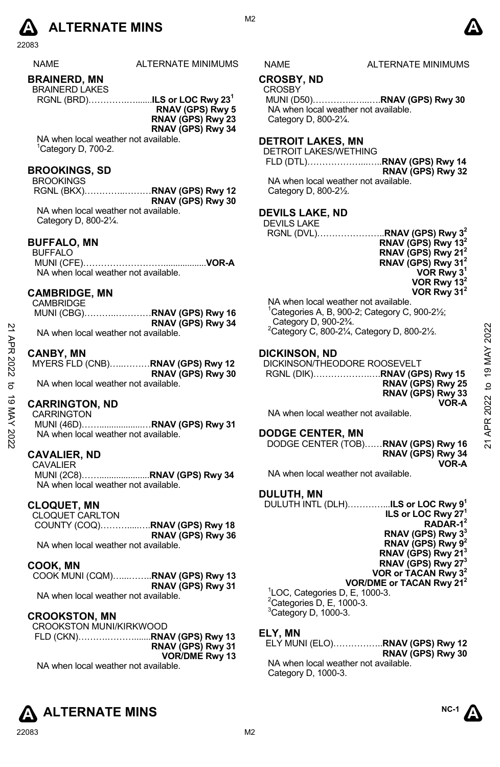

| <b>NAME</b> | <b>ALTEI</b> |
|-------------|--------------|
|-------------|--------------|

# **BRAINERD, MN**

BRAINERD LAKES

 RGNL (BRD)………….….......**ILS or LOC Rwy 231 RNAV (GPS) Rwy 5 RNAV (GPS) Rwy 23 RNAV (GPS) Rwy 34** 

NA when local weather not available.  $1$ Category D, 700-2.

# **BROOKINGS, SD**

**BROOKINGS** RGNL (BKX)…………..………**RNAV (GPS) Rwy 12 RNAV (GPS) Rwy 30**  NA when local weather not available. Category D, 800-2¼.

# **BUFFALO, MN**

BUFFALO MUNI (CFE)………………………..................**VOR-A**  NA when local weather not available.

#### **CAMBRIDGE, MN**

| <b>CAMBRIDGE</b>                     |                             |
|--------------------------------------|-----------------------------|
|                                      | MUNI (CBG)RNAV (GPS) Rwy 16 |
|                                      | RNAV (GPS) Rwy 34           |
| NA when local weather not available. |                             |

#### **CANBY, MN**

| MYERS FLD (CNB)RNAV (GPS) Rwy 12     |                   |
|--------------------------------------|-------------------|
|                                      | RNAV (GPS) Rwy 30 |
| NA when local weather not available. |                   |

#### **CARRINGTON, ND**

| <b>CARRINGTON</b>                    |  |
|--------------------------------------|--|
|                                      |  |
| NA when local weather not available. |  |

#### **CAVALIER, ND**

CAVALIER MUNI (2C8)…….....................**RNAV (GPS) Rwy 34**  NA when local weather not available.

### **CLOQUET, MN**

CLOQUET CARLTON COUNTY (COQ)……….....….**RNAV (GPS) Rwy 18 RNAV (GPS) Rwy 36**  NA when local weather not available.

#### **COOK, MN**

COOK MUNI (CQM)…...……..**RNAV (GPS) Rwy 13 RNAV (GPS) Rwy 31**  NA when local weather not available.

#### **CROOKSTON, MN**

CROOKSTON MUNI/KIRKWOOD

 FLD (CKN)……….……….......**RNAV (GPS) Rwy 13 RNAV (GPS) Rwy 31 VOR/DME Rwy 13** NA when local weather not available.





#### RNATE MINIMUMS NAME ALTERNATE MINIMUMS

# **CROSBY, ND**

**CROSBY** 

 MUNI (D50)…………..…...….**RNAV (GPS) Rwy 30** NA when local weather not available. Category D, 800-2¼.

# **DETROIT LAKES, MN**

DETROIT LAKES/WETHING FLD (DTL)………………...…..**RNAV (GPS) Rwy 14 RNAV (GPS) Rwy 32**  NA when local weather not available.

Category D, 800-2½.

# **DEVILS LAKE, ND**

```
DEVILS LAKE
```
RGNL (DVL)…………………..**RNAV (GPS) Rwy 32 RNAV (GPS) Rwy 132 RNAV (GPS) Rwy 212 RNAV (GPS) Rwy 312 VOR Rwy 31 VOR Rwy 132 VOR Rwy 312**

NA when local weather not available.  $1$ Categories A, B, 900-2; Category C, 900-2 $\frac{1}{2}$ ; Category D, 900-2¾. 2 Category C, 800-2¼, Category D, 800-2½.

#### **DICKINSON, ND**

| 2           | <b>NIMAY (UFO) NWY JH</b><br>NA when local weather not available. | 0.40401, 0.0001<br><sup>2</sup> Category C, 800-21/ <sub>4</sub> , Category D, 800-21/ <sub>2</sub> . | 2022           |
|-------------|-------------------------------------------------------------------|-------------------------------------------------------------------------------------------------------|----------------|
| بر<br>م     |                                                                   |                                                                                                       |                |
|             | <b>CANBY, MN</b>                                                  | <b>DICKINSON, ND</b>                                                                                  |                |
| 2022        | MYERS FLD (CNB)RNAV (GPS) Rwy 12                                  | DICKINSON/THEODORE ROOSEVELT                                                                          | ⋝              |
|             | RNAV (GPS) Rwy 30                                                 |                                                                                                       | $\overline{9}$ |
| ನ           | NA when local weather not available.                              | RNAV (GPS) Rwy 25                                                                                     | $\overline{a}$ |
|             |                                                                   | RNAV (GPS) Rwy 33                                                                                     |                |
|             | <b>CARRINGTON, ND</b>                                             | VOR-A                                                                                                 |                |
|             | <b>CARRINGTON</b>                                                 | NA when local weather not available.                                                                  | 2022           |
|             | MUNI (46D)RNAV (GPS) Rwy 31                                       |                                                                                                       |                |
| 19 MAY 2022 | NA when local weather not available.                              | <b>DODGE CENTER, MN</b>                                                                               |                |
|             |                                                                   |                                                                                                       |                |
|             |                                                                   | DODGE CENTER (TOB)RNAV (GPS) Rwy 16                                                                   | ম              |

# **DODGE CENTER, MN**

DODGE CENTER (TOB)……**RNAV (GPS) Rwy 16 RNAV (GPS) Rwy 34 VOR-A** 

NA when local weather not available.

#### **DULUTH, MN**

DULUTH INTL (DLH)…………...**ILS or LOC Rwy 91 ILS or LOC Rwy 271 RADAR-12 RNAV (GPS) Rwy 33 RNAV (GPS) Rwy 92 RNAV (GPS) Rwy 213 RNAV (GPS) Rwy 273 VOR or TACAN Rwy 32 VOR/DME or TACAN Rwy 212**  1 LOC, Categories D, E, 1000-3.  ${}^{2}$ Categories D, E, 1000-3.  $3$ Category D, 1000-3.

# **ELY, MN**

ELY MUNI (ELO)……………..**RNAV (GPS) Rwy 12 RNAV (GPS) Rwy 30** 

NA when local weather not available. Category D, 1000-3.



M<sub>2</sub>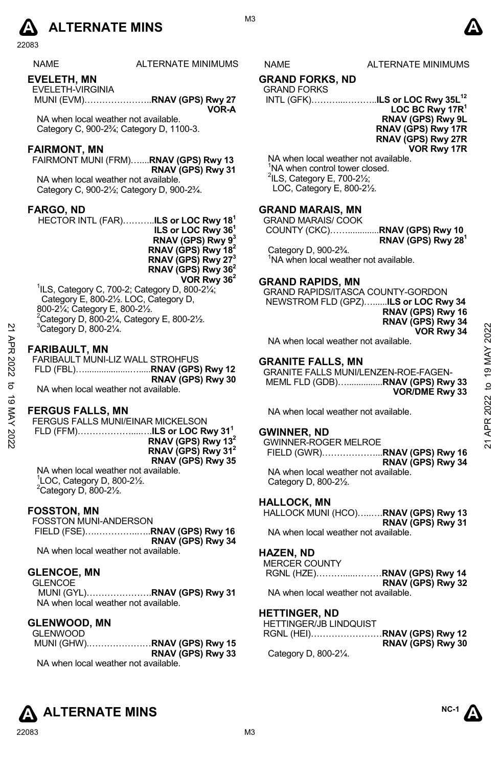

NAME ALTERNATE MINIMUMS NAME ALTERNATE MINIMUMS

# **EVELETH, MN**

EVELETH-VIRGINIA MUNI (EVM)…………………..**RNAV (GPS) Rwy 27 VOR-A**

NA when local weather not available. Category C, 900-2¾; Category D, 1100-3.

## **FAIRMONT, MN**

FAIRMONT MUNI (FRM)…....**RNAV (GPS) Rwy 13 RNAV (GPS) Rwy 31** NA when local weather not available.

Category C, 900-2½; Category D, 900-2¾.

# **FARGO, ND**

HECTOR INTL (FAR)………..**ILS or LOC Rwy 181 ILS or LOC Rwy 361 RNAV (GPS) Rwy 93 RNAV (GPS) Rwy 182 RNAV (GPS) Rwy 273 RNAV (GPS) Rwy 362 VOR Rwy 362**

1 ILS, Category C, 700-2; Category D, 800-2¼; Category E, 800-2½. LOC, Category D, 800-2¼; Category E, 800-2½.  $^{2}$ Category D, 800-2 $\frac{1}{4}$ , Category E, 800-2 $\frac{1}{2}$ .  $3$ Category D, 800-2 $\frac{1}{4}$ .

# **FARIBAULT, MN**

FARIBAULT MUNI-LIZ WALL STROHFUS FLD (FBL)…...................….....**RNAV (GPS) Rwy 12 RNAV (GPS) Rwy 30**  NA when local weather not available. <sup>21</sup> <sup>3</sup>Category D, 800-2¼<br>
21 <sup>3</sup>Category D, 800-2¼<br>
21 **APP PARIBAULT, MN**<br>
21 **APP PARIBAULT MUNI-LIZ WALL STROHFUS**<br>
21 **APP PARIBAULT MUNI-LIZ WALL STROHFUS**<br>
21 **GRANITE FALLS, MN**<br>
21 GRANITE FALLS MUNI/LENZEN-ROE-

#### **FERGUS FALLS, MN**

FERGUS FALLS MUNI/EINAR MICKELSON FLD (FFM)………………....….**ILS or LOC Rwy 311 RNAV (GPS) Rwy 132 RNAV (GPS) Rwy 312 RNAV (GPS) Rwy 35** NA when local weather not available.

 ${}^{1}$ LOC, Category D, 800-2 $\frac{1}{2}$ .  $2$ Category D, 800-2 $\frac{1}{2}$ .

#### **FOSSTON, MN**

FOSSTON MUNI-ANDERSON FIELD (FSE)….…………..…..**RNAV (GPS) Rwy 16 RNAV (GPS) Rwy 34**  NA when local weather not available.

#### **GLENCOE, MN**

**GLENCOE** MUNI (GYL)………………….**RNAV (GPS) Rwy 31** NA when local weather not available.

#### **GLENWOOD, MN**

GLENWOOD MUNI (GHW).…………………**RNAV (GPS) Rwy 15 RNAV (GPS) Rwy 33**  NA when local weather not available

M3

# **GRAND FORKS, ND**

# GRAND FORKS

 INTL (GFK)………...………..**ILS or LOC Rwy 35L12 LOC BC Rwy 17R1 RNAV (GPS) Rwy 9L RNAV (GPS) Rwy 17R RNAV (GPS) Rwy 27R VOR Rwy 17R** 

NA when local weather not available. <sup>1</sup>NA when control tower closed.  $2$ ILS, Category E, 700-2 $\frac{1}{2}$ ; LOC, Category E, 800-2½.

# **GRAND MARAIS, MN**

GRAND MARAIS/ COOK COUNTY (CKC)…….............**RNAV (GPS) Rwy 10**

**RNAV (GPS) Rwy 281**

Category D, 900-2<sup>3</sup>/<sub>4</sub>.<br><sup>1</sup>NA when local weath NA when local weather not available.

# **GRAND RAPIDS, MN**

GRAND RAPIDS/ITASCA COUNTY-GORDON NEWSTROM FLD (GPZ)…......**ILS or LOC Rwy 34 RNAV (GPS) Rwy 16 RNAV (GPS) Rwy 34 VOR Rwy 34** 

NA when local weather not available.

## **GRANITE FALLS, MN**

GRANITE FALLS MUNI/LENZEN-ROE-FAGEN- MEML FLD (GDB)…...............**RNAV (GPS) Rwy 33 VOR/DME Rwy 33** 

NA when local weather not available.

# **GWINNER, ND**

GWINNER-ROGER MELROE FIELD (GWR)………………...**RNAV (GPS) Rwy 16 RNAV (GPS) Rwy 34** 

NA when local weather not available. Category D, 800-2½.

# **HALLOCK, MN**

HALLOCK MUNI (HCO)…..….**RNAV (GPS) Rwy 13 RNAV (GPS) Rwy 31**  NA when local weather not available.

# **HAZEN, ND**

MERCER COUNTY RGNL (HZE)……….....………**RNAV (GPS) Rwy 14 RNAV (GPS) Rwy 32**

NA when local weather not available.

#### **HETTINGER, ND**

| <b>HETTINGER/JB LINDQUIST</b> |                   |
|-------------------------------|-------------------|
| RGNL (HEI)RNAV (GPS) Rwy 12   |                   |
|                               | RNAV (GPS) Rwy 30 |

Category D, 800-2¼.



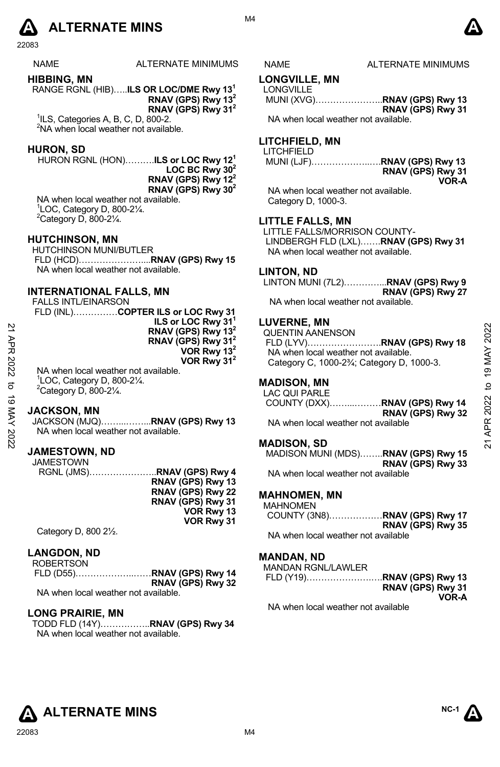

#### **HIBBING, MN**

RANGE RGNL (HIB)…..**ILS OR LOC/DME Rwy 131 RNAV (GPS) Rwy 132 RNAV (GPS) Rwy 312** 

<sup>1</sup>ILS, Categories A, B, C, D, 800-2. <sup>2</sup>NA when local weather not available.

# **HURON, SD**

HURON RGNL (HON)……….**ILS or LOC Rwy 121** LOC BC Rwy 30<sup>2</sup> **RNAV (GPS) Rwy 122 RNAV (GPS) Rwy 302**

NA when local weather not available. 1 LOC, Category D, 800-2¼.  $2$ Category D, 800-2 $\frac{1}{4}$ .

#### **HUTCHINSON, MN**

HUTCHINSON MUNI/BUTLER FLD (HCD)…………………....**RNAV (GPS) Rwy 15**  NA when local weather not available.

#### **INTERNATIONAL FALLS, MN**

FALLS INTL/EINARSON FLD (INL)……………**COPTER ILS or LOC Rwy 31 ILS or LOC Rwy 311 RNAV (GPS) Rwy 132 RNAV (GPS) Rwy 312 VOR Rwy 132 VOR Rwy 312** NA when local weather not available. **EXAMPLE 19 APRAV (GPS) RWY 13<sup>2</sup><br>
21 APR 2022 TO 19 APR 2022 TO 19 APR 2022 TO 19 APR 2022 TO 19 APP 2022 to 19 APP 2022<br>
2023 VOR Rwy 31<sup>2</sup><br>
21 AC AMPEN SON 2022 TO 224.<br>
21 APR 2022 TO 224.<br>
22 ACC Category D, 800-21/4** 

1 LOC, Category D, 800-2¼.  $2$ Category D, 800-2 $\frac{1}{4}$ .

#### **JACKSON, MN**

JACKSON (MJQ)……...……...**RNAV (GPS) Rwy 13**  NA when local weather not available.

#### **JAMESTOWN, ND**

JAMESTOWN RGNL (JMS)…………………..**RNAV (GPS) Rwy 4 RNAV (GPS) Rwy 13 RNAV (GPS) Rwy 22 RNAV (GPS) Rwy 31 VOR Rwy 13 VOR Rwy 31** 

Category D, 800 2½.

# **LANGDON, ND**

ROBERTSON FLD (D55)………………..……**RNAV (GPS) Rwy 14 RNAV (GPS) Rwy 32** 

NA when local weather not available.

#### **LONG PRAIRIE, MN**

TODD FLD (14Y)……………..**RNAV (GPS) Rwy 34**  NA when local weather not available.

M4

#### NAME ALTERNATE MINIMUMS

| <b>LONGVILLE, MN</b> |  |
|----------------------|--|
| <b>LONGVILLE</b>     |  |

| LONGVILLE                           |                   |
|-------------------------------------|-------------------|
|                                     |                   |
|                                     | RNAV (GPS) Rwy 31 |
| MA whon local woother not quoilehle |                   |

NA when local weather not available.

#### **LITCHFIELD, MN**

LITCHFIELD

 MUNI (LJF)………………..….**RNAV (GPS) Rwy 13 RNAV (GPS) Rwy 31 VOR-A** 

NA when local weather not available. Category D, 1000-3.

#### **LITTLE FALLS, MN**

LITTLE FALLS/MORRISON COUNTY- LINDBERGH FLD (LXL)…….**RNAV (GPS) Rwy 31** NA when local weather not available.

#### **LINTON, ND**

 LINTON MUNI (7L2)…………...**RNAV (GPS) Rwy 9 RNAV (GPS) Rwy 27** 

NA when local weather not available.

### **LUVERNE, MN**

QUENTIN AANENSON FLD (LYV)…………………….**RNAV (GPS) Rwy 18**  NA when local weather not available. Category C, 1000-2¾; Category D, 1000-3.

#### **MADISON, MN**

LAC QUI PARLE COUNTY (DXX)……...………**RNAV (GPS) Rwy 14 RNAV (GPS) Rwy 32**  NA when local weather not available

**MADISON, SD** 

# MADISON MUNI (MDS)……..**RNAV (GPS) Rwy 15 RNAV (GPS) Rwy 33**

NA when local weather not available

#### **MAHNOMEN, MN**

MAHNOMEN COUNTY (3N8)………………**RNAV (GPS) Rwy 17 RNAV (GPS) Rwy 35** 

NA when local weather not available

#### **MANDAN, ND**

| <b>MANDAN RGNL/LAWLER</b>                             |                   |
|-------------------------------------------------------|-------------------|
|                                                       |                   |
|                                                       | RNAV (GPS) Rwy 31 |
|                                                       | VOR-A             |
| NTA code e de la calciona externa esta acontrata tele |                   |

NA when local weather not available

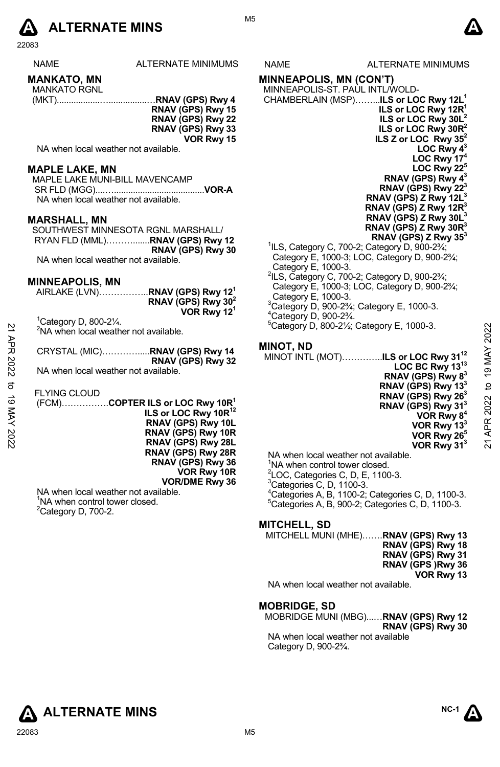

| <b>NAME</b>  | <b>ALTERNATE MINIMUMS</b> |
|--------------|---------------------------|
| MANILATO MNI |                           |

# **MANKATO, MN**  MANKATO RGNL

| <u>IVIAI VATUTINUI VE</u> |                           |
|---------------------------|---------------------------|
|                           | RNAV (GPS) Rwy 15         |
|                           | RNAV (GPS) Rwy 22         |
|                           | <b>DNAV (CDC)</b> Duni 22 |

**RNAV (GPS) Rwy 33 VOR Rwy 15** 

NA when local weather not available.

# **MAPLE LAKE, MN**

MAPLE LAKE MUNI-BILL MAVENCAMP SR FLD (MGG)....…......................................**VOR-A**  NA when local weather not available.

#### **MARSHALL, MN**

| SOUTHWEST MINNESOTA RGNL MARSHALL/   |                   |
|--------------------------------------|-------------------|
|                                      |                   |
|                                      | RNAV (GPS) Rwy 30 |
| NA when local weather not available. |                   |

#### **MINNEAPOLIS, MN**

|       | AIRLAKE (LVN)RNAV (GPS) Rwy 12 <sup>1</sup> |
|-------|---------------------------------------------|
|       | RNAV (GPS) Rwy 30 <sup>2</sup>              |
| $1 -$ | VOR Rwy $121$                               |

<sup>1</sup>Category D, 800-2¼.<br><sup>2</sup>NA when local weather not available.

|                                      | RNAV (GPS) Rwy 32 |
|--------------------------------------|-------------------|
| NA when local weather not available. |                   |

| (FCM)COPTER ILS or LOC Rwy 10R <sup>1</sup> |
|---------------------------------------------|
| ILS or LOC Rwy 10R <sup>12</sup>            |
| RNAV (GPS) Rwy 10L                          |
| RNAV (GPS) Rwy 10R                          |
| RNAV (GPS) Rwy 28L                          |
| RNAV (GPS) Rwy 28R                          |
| RNAV (GPS) Rwy 36                           |
| VOR Rwy 10R                                 |
| <b>VOR/DME Rwy 36</b>                       |
|                                             |

NA when local weather not available. <sup>1</sup>NA when control tower closed. <sup>2</sup>Category D, 700-2.



### NAME ALTERNATE MINIMUMS

# **MINNEAPOLIS, MN (CON'T)**

| MINNEAPOLIS-ST. PAUL INTL/WOLD-                                                      |
|--------------------------------------------------------------------------------------|
| CHAMBERLAIN (MSP)ILS or LOC Rwy 12L <sup>1</sup>                                     |
| ILS or LOC Rwy 12R <sup>1</sup>                                                      |
| ILS or LOC Rwy 30L <sup>2</sup>                                                      |
| ILS or LOC Rwy 30R <sup>2</sup>                                                      |
| ILS Z or LOC Rwy $35^2$                                                              |
| LOC Rwy $4^3$                                                                        |
| LOC Rwy $174$                                                                        |
| LOC Rwy 22 <sup>5</sup>                                                              |
| RNAV (GPS) Rwy 4 <sup>3</sup>                                                        |
| RNAV (GPS) Rwy $223$                                                                 |
| RNAV (GPS) Z Rwy 12L <sup>3</sup>                                                    |
| RNAV (GPS) Z Rwy 12 $R^3$                                                            |
| RNAV (GPS) Z Rwy 30 $L^3$                                                            |
| RNAV (GPS) Z Rwy 30 $R^3$                                                            |
| RNAV (GPS) Z Rwy $35^3$                                                              |
| <sup>1</sup> ILS, Category C, 700-2; Category D, 900-2 <sup>3</sup> / <sub>4</sub> ; |
| Category E, 1000-3; LOC, Category D, 900-23/4;                                       |
| Category E, 1000-3.                                                                  |
| $2$ ILS, Category C, 700-2; Category D, 900-2 $\frac{3}{4}$ ;                        |
| Category E, 1000-3; LOC, Category D, 900-23/4;                                       |

- $3$ Category D, 900-2 $\frac{3}{4}$ ; Category E, 1000-3.  $4$ Category D, 900-2 $\frac{3}{4}$ .
- 5 Category D, 800-2½; Category E, 1000-3.

# **MINOT, ND**

Category E, 1000-3.

| 2                   | $O0$ $O1$ , $O2$ , $O3$ , $O4$ .<br><sup>2</sup> NA when local weather not available.                                                                                                                 | $^{\circ}$ Category D, 800-2 $\frac{1}{2}$ ; Category E, 1000-3.                                                                                                                                    | 2022                           |
|---------------------|-------------------------------------------------------------------------------------------------------------------------------------------------------------------------------------------------------|-----------------------------------------------------------------------------------------------------------------------------------------------------------------------------------------------------|--------------------------------|
| APR<br>2022         | RNAV (GPS) Rwy 32<br>NA when local weather not available.                                                                                                                                             | <b>MINOT, ND</b><br>MINOT INTL (MOT)ILS or LOC Rwy 31 <sup>12</sup><br>LOC BC Rwy $13^{13}$                                                                                                         | 19 MAY                         |
|                     |                                                                                                                                                                                                       | RNAV (GPS) Rwy 8 <sup>3</sup>                                                                                                                                                                       |                                |
| ಕ<br>ಠ<br>X<br>2022 | <b>FLYING CLOUD</b><br>(FCM)COPTER ILS or LOC Rwy 10R <sup>1</sup><br>ILS or LOC Rwy 10R <sup>12</sup><br>RNAV (GPS) Rwy 10L<br>RNAV (GPS) Rwy 10R<br>RNAV (GPS) Rwy 28L<br><b>RNAV (GPS) Rwy 28R</b> | RNAV (GPS) Rwy 13 <sup>3</sup><br>RNAV (GPS) Rwy 26 <sup>3</sup><br>RNAV (GPS) Rwy 31 <sup>3</sup><br>VOR Rwy 8 <sup>4</sup><br>VOR Rwy 13 <sup>3</sup><br>VOR Rwy 26 <sup>5</sup><br>VOR Rwy $313$ | $\mathsf{D}$<br>2022<br>21 APR |

NA when local weather not available.

- <sup>1</sup>NA when control tower closed.
- $2$ LOC, Categories C, D, E, 1100-3.
- 3 Categories C, D, 1100-3.
- <sup>4</sup> Categories A, B, 1100-2; Categories C, D, 1100-3.<br><sup>5</sup> Categories A, B, 000 3; Categories C, D, 1100-3. Categories A, B, 900-2; Categories C, D, 1100-3.
	-

# **MITCHELL, SD**

| MITCHELL MUNI (MHE)RNAV (GPS) Rwy 13 |                   |
|--------------------------------------|-------------------|
|                                      | RNAV (GPS) Rwy 18 |
|                                      | RNAV (GPS) Rwy 31 |
|                                      | RNAV (GPS) Rwy 36 |
|                                      | VOR Rwy 13        |
| NA when local weather not available. |                   |

#### **MOBRIDGE, SD**

MOBRIDGE MUNI (MBG)...…**RNAV (GPS) Rwy 12 RNAV (GPS) Rwy 30** 

NA when local weather not available Category D, 900-2¾.



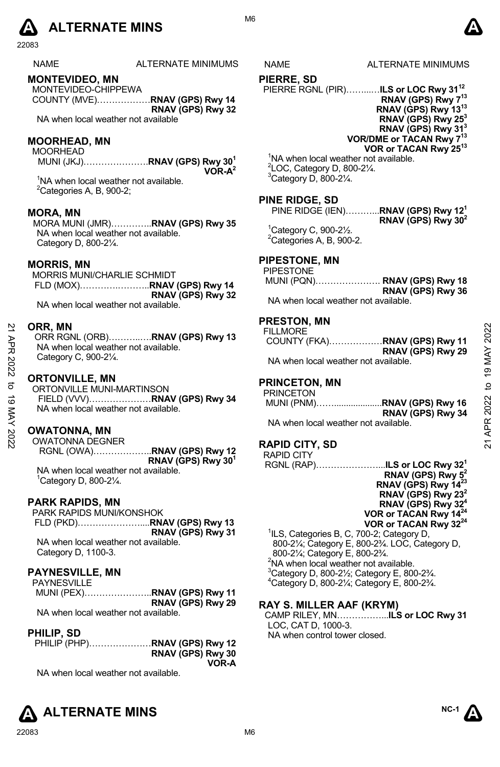

NAME ALTERNATE MINIMUMS NAME ALTERNATE MINIMUMS

# **MONTEVIDEO, MN**

MONTEVIDEO-CHIPPEWA COUNTY (MVE)………………**RNAV (GPS) Rwy 14 RNAV (GPS) Rwy 32** 

NA when local weather not available

# **MOORHEAD, MN**

MOORHEAD MUNI (JKJ)………………….**RNAV (GPS) Rwy 301 VOR-A2** 

<sup>1</sup>NA when local weather not available.  ${}^{2}$ Categories A, B, 900-2;

#### **MORA, MN**

MORA MUNI (JMR)…………..**RNAV (GPS) Rwy 35**  NA when local weather not available. Category D, 800-2¼.

# **MORRIS, MN**

MORRIS MUNI/CHARLIE SCHMIDT FLD (MOX)………….………..**RNAV (GPS) Rwy 14 RNAV (GPS) Rwy 32**  NA when local weather not available.

#### **ORR, MN**

# **ORTONVILLE, MN**

#### **OWATONNA, MN**

OWATONNA DEGNER RGNL (OWA)………………..**RNAV (GPS) Rwy 12 RNAV (GPS) Rwy 301**  NA when local weather not available. 1 Category D, 800-2¼.

#### **PARK RAPIDS, MN**

PARK RAPIDS MUNI/KONSHOK FLD (PKD)…………………....**RNAV (GPS) Rwy 13 RNAV (GPS) Rwy 31**  NA when local weather not available. Category D, 1100-3.

#### **PAYNESVILLE, MN**

PAYNESVILLE MUNI (PEX)…………………..**RNAV (GPS) Rwy 11 RNAV (GPS) Rwy 29**  NA when local weather not available.

#### **PHILIP, SD**

| RNAV (GPS) Rwy 30 |
|-------------------|
| VOR-A             |

NA when local weather not available.





#### **PIERRE, SD**

M6

PIERRE RGNL (PIR)……...…**ILS or LOC Rwy 3112**

**RNAV (GPS) Rwy 713 RNAV (GPS) Rwy 1313 RNAV (GPS) Rwy 253 RNAV (GPS) Rwy 313 VOR/DME or TACAN Rwy 713 VOR or TACAN Rwy 2513** 

<sup>1</sup>NA when local weather not available.  $2^2$ LOC, Category D, 800-2 $\frac{1}{4}$ .  $3$ Category D, 800-2 $\frac{1}{4}$ .

#### **PINE RIDGE, SD**

|                                            | PINE RIDGE (IEN)RNAV (GPS) Rwy 12 <sup>1</sup><br>RNAV (GPS) Rwy 30 <sup>2</sup> |
|--------------------------------------------|----------------------------------------------------------------------------------|
| ${}^{1}$ Category C, 900-2 $\frac{1}{2}$ . |                                                                                  |

 ${}^{2}$ Categories A, B, 900-2.

### **PIPESTONE, MN**

PIPESTONE MUNI (PQN)…………………. **RNAV (GPS) Rwy 18 RNAV (GPS) Rwy 36** 

NA when local weather not available.

# **PRESTON, MN**

| ⊵<br>ЯPR<br>2022 | ORR. MN<br>ORR RGNL (ORB)RNAV (GPS) Rwy 13<br>NA when local weather not available.<br>Category C, 900-21/4. | .<br><b>FILLMORE</b><br>RNAV (GPS) Rwy 29<br>NA when local weather not available.            | 2022<br>$\lambda$<br>ග |
|------------------|-------------------------------------------------------------------------------------------------------------|----------------------------------------------------------------------------------------------|------------------------|
| ಕ<br>ಕ<br>⋚      | <b>ORTONVILLE, MN</b><br>ORTONVILLE MUNI-MARTINSON<br>NA when local weather not available.                  | <b>PRINCETON, MN</b><br><b>PRINCETON</b><br>MUNI (PNM)RNAV (GPS) Rwy 16<br>RNAV (GPS) Rwy 34 | ₫<br>2022              |
| 2022             | <b>OWATONNA, MN</b><br><b>OWATONNA DEGNER</b><br>. <i>. .</i>                                               | NA when local weather not available.<br><b>RAPID CITY, SD</b>                                | ≃<br>ಸ                 |

#### **PRINCETON, MN**

| PRINCETON |  |  |                             |
|-----------|--|--|-----------------------------|
|           |  |  | MUNI (PNM)RNAV (GPS) Rwy 16 |
|           |  |  | RNAV (GPS) Rwy 34           |
| .         |  |  |                             |

# **RAPID CITY, SD**

| RAPID CITY |                                          |
|------------|------------------------------------------|
|            | RGNL (RAP)ILS or LOC Rwy 32 <sup>1</sup> |
|            | <b>PNAV (CDS)</b> Pun $5^2$              |

| RNAV (GPS) Rwy $5^2$              |
|-----------------------------------|
| RNAV (GPS) Rwy 14 <sup>23</sup>   |
| RNAV (GPS) Rwy $23^2$             |
| RNAV (GPS) Rwy 32 <sup>4</sup>    |
| VOR or TACAN Rwy 1424             |
| VOR or TACAN Rwy 32 <sup>24</sup> |
|                                   |

<sup>1</sup>ILS, Categories B, C, 700-2; Category D, 800-2¼; Category E, 800-2¾. LOC, Category D, 800-2¼; Category E, 800-2¾. <sup>2</sup>NA when local weather not available.  $3$ Category D, 800-2 $\frac{1}{2}$ ; Category E, 800-2 $\frac{3}{4}$ . 4 Category D, 800-2¼; Category E, 800-2¾.

### **RAY S. MILLER AAF (KRYM)**

CAMP RILEY, MN……………...**ILS or LOC Rwy 31**  LOC, CAT D, 1000-3. NA when control tower closed.

**NC-1** 

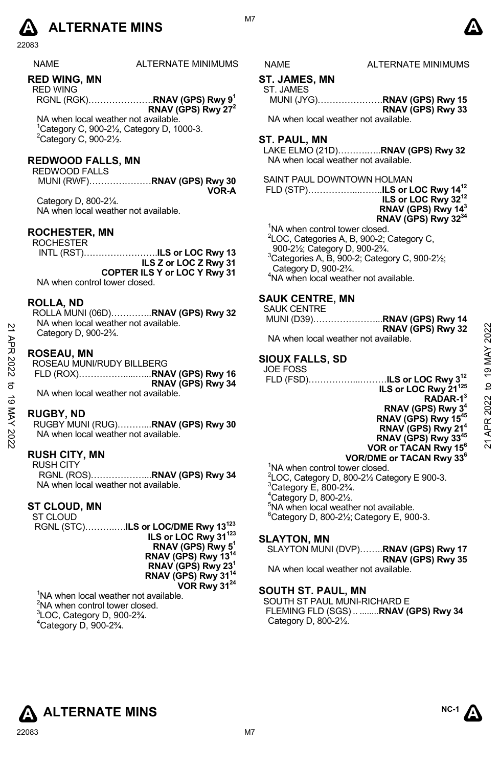

| <b>NAME</b> | ALTERNATE MINIMUMS |
|-------------|--------------------|
|             |                    |

# **RED WING, MN**

RED WING RGNL (RGK)………………….**RNAV (GPS) Rwy 91 RNAV (GPS) Rwy 272**

NA when local weather not available. 1 Category C, 900-2½, Category D, 1000-3.  $2$ Category C, 900-2 $\frac{1}{2}$ .

# **REDWOOD FALLS, MN**

REDWOOD FALLS MUNI (RWF)…………………**RNAV (GPS) Rwy 30 VOR-A** 

Category D, 800-2¼. NA when local weather not available.

#### **ROCHESTER, MN**

**ROCHESTER** INTL (RST)…………………….**ILS or LOC Rwy 13 ILS Z or LOC Z Rwy 31 COPTER ILS Y or LOC Y Rwy 31** 

NA when control tower closed.

#### **ROLLA, ND**

ROLLA MUNI (06D)…………..**RNAV (GPS) Rwy 32**  NA when local weather not available. Category D, 900-2¾.

#### **ROSEAU, MN**

| ROSEAU MUNI/RUDY BILLBERG            |                   |
|--------------------------------------|-------------------|
|                                      |                   |
|                                      | RNAV (GPS) Rwy 34 |
| NA when local weather not available. |                   |

#### **RUGBY, ND**

#### **RUSH CITY, MN**

RUSH CITY RGNL (ROS)………………...**RNAV (GPS) Rwy 34**  NA when local weather not available.

#### **ST CLOUD, MN**

ST CLOUD RGNL (STC)……….….**ILS or LOC/DME Rwy 13123 ILS or LOC Rwy 31<sup>123</sup> RNAV (GPS) Rwy 51 RNAV (GPS) Rwy 1314 RNAV (GPS) Rwy 231 RNAV (GPS) Rwy 3114 VOR Rwy 3124**

<sup>1</sup>NA when local weather not available. <sup>2</sup>NA when control tower closed.  $3$ LOC, Category D, 900-2 $3/4$ .  $4$ Category D, 900-2 $\frac{3}{4}$ .

S NAME ALTERNATE MINIMUMS

# **ST. JAMES, MN**

ST. JAMES MUNI (JYG)………………….**RNAV (GPS) Rwy 15 RNAV (GPS) Rwy 33** 

NA when local weather not available.

#### **ST. PAUL, MN**

LAKE ELMO (21D)……….…..**RNAV (GPS) Rwy 32**  NA when local weather not available.

SAINT PAUL DOWNTOWN HOLMAN

 FLD (STP)……………...……..**ILS or LOC Rwy 1412 ILS or LOC Rwy 3212 RNAV (GPS) Rwy 143 RNAV (GPS) Rwy 3234**  <sup>1</sup>NA when control tower closed.

<sup>2</sup>LOC, Categories A, B, 900-2; Category C, 900-2½; Category D, 900-2¾.  $3$ Categories A, B, 900-2; Category C, 900-21⁄2; Category D, 900-2¾. 4 NA when local weather not available.

#### **SAUK CENTRE, MN**  SAUK CENT

| SAUN UEINTRE                         |                                     |
|--------------------------------------|-------------------------------------|
|                                      | MUNI (D39)……………………RNAV (GPS) Rwy 14 |
|                                      | RNAV (GPS) Rwy 32                   |
| NA when local weather not available. |                                     |

# **SIOUX FALLS, SD**

| APR      | INA WILCH IUCAI WEALHEI HUL AVAIIADIC.<br>Category D, 900-2 <sup>3</sup> / <sub>4</sub> .     | RNAV (GPS) Rwy 32<br>NA when local weather not available.                                                                 | 2022           |
|----------|-----------------------------------------------------------------------------------------------|---------------------------------------------------------------------------------------------------------------------------|----------------|
| 2022     | <b>ROSEAU, MN</b><br>ROSEAU MUNI/RUDY BILLBERG                                                | <b>SIOUX FALLS, SD</b><br><b>JOE FOSS</b>                                                                                 | $\overline{9}$ |
| ನ<br>ಕ   | RNAV (GPS) Rwy 34<br>NA when local weather not available.                                     | FLD (FSD)ILS or LOC Rwy 3 <sup>12</sup><br>ILS or LOC Rwy 21 <sup>125</sup><br>RADAR-1 <sup>3</sup>                       | $\mathsf{D}$   |
| MAY 2022 | <b>RUGBY, ND</b><br>RUGBY MUNI (RUG)RNAV (GPS) Rwy 30<br>NA when local weather not available. | RNAV (GPS) Rwy 3 <sup>4</sup><br>RNAV (GPS) Rwy 15 <sup>45</sup><br>RNAV (GPS) Rwy 21 <sup>4</sup><br>RNAV (GPS) Rwy 3345 | 2022<br>APR    |
|          | BUOU AITY HALL                                                                                | VOR or TACAN Rwy 15 <sup>6</sup>                                                                                          | $\overline{2}$ |

#### **VOR/DME or TACAN Rwy 336**

<sup>1</sup>NA when control tower closed.  $2^2$ LOC, Category D, 800-2 $\frac{1}{2}$ Category E 900-3.  $3$ Category E, 800-2 $\frac{3}{4}$ .  $^{4}$ Category D, 800-2 $\frac{1}{2}$ . 5 NA when local weather not available.  $6$ Category D, 800-2 $\frac{1}{2}$ ; Category E, 900-3.

# **SLAYTON, MN**

SLAYTON MUNI (DVP)……..**RNAV (GPS) Rwy 17 RNAV (GPS) Rwy 35**  NA when local weather not available.

# **SOUTH ST. PAUL, MN**

SOUTH ST PAUL MUNI-RICHARD E FLEMING FLD (SGS) .. ........**RNAV (GPS) Rwy 34**  Category D, 800-2½.





M<sub>7</sub>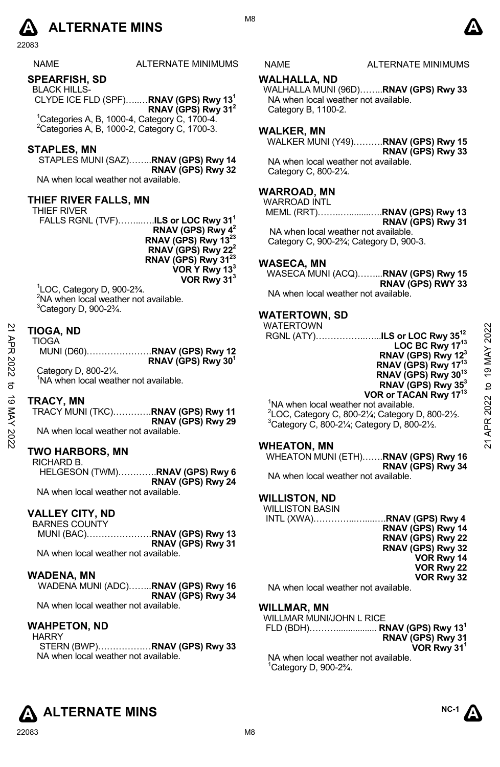

#### NAME ALTERNATE MINIMUMS NAME ALTERNATE MINIMUMS

# **SPEARFISH, SD**

BLACK HILLS- CLYDE ICE FLD (SPF)…..…**RNAV (GPS) Rwy 131 RNAV (GPS) Rwy 312** 1 Categories A, B, 1000-4, Category C, 1700-4. 2 Categories A, B, 1000-2, Category C, 1700-3.

#### **STAPLES, MN**

STAPLES MUNI (SAZ)……..**RNAV (GPS) Rwy 14 RNAV (GPS) Rwy 32**  NA when local weather not available.

#### **THIEF RIVER FALLS, MN**

THIEF RIVER FALLS RGNL (TVF)……...….**ILS or LOC Rwy 311 RNAV (GPS) Rwy 42 RNAV (GPS) Rwy 1323 RNAV (GPS) Rwy 222 RNAV (GPS) Rwy 3123 VOR Y Rwy 133 VOR Rwy 313** 

1 LOC, Category D, 900-2¾.  $2$ NA when local weather not available.  $3$ Category D, 900-2 $\frac{3}{4}$ .

# **TIOGA, ND**

| ⊻    | <b>TIOGA, ND</b>                                          | WATERTOWN                                                                    | 2022           |
|------|-----------------------------------------------------------|------------------------------------------------------------------------------|----------------|
| ЯPR  | <b>TIOGA</b>                                              | LOC BC Rwy $17^{13}$                                                         |                |
|      | RNAV (GPS) Rwy 30 <sup>1</sup>                            | RNAV (GPS) Rwy 12 <sup>3</sup>                                               | MAY            |
| 2022 | Category D, 800-21/4.                                     | RNAV (GPS) Rwy 17 <sup>13</sup><br>RNAV (GPS) Rwy 30 <sup>13</sup>           | $\overline{9}$ |
| ನ    | <sup>1</sup> NA when local weather not available.         | RNAV (GPS) Rwy 35 <sup>3</sup>                                               | $\mathsf{D}$   |
| ಕ    |                                                           | VOR or TACAN Rwy 1713                                                        |                |
|      | <b>TRACY, MN</b>                                          | <sup>1</sup> NA when local weather not available.                            | 2022           |
| ⋚    | TRACY MUNI (TKC)RNAV (GPS) Rwy 11                         | $2$ LOC, Category C, 800-2 $\frac{1}{4}$ ; Category D, 800-2 $\frac{1}{2}$ . |                |
| 2022 | RNAV (GPS) Rwy 29<br>NA when local weather not available. | <sup>3</sup> Category C, 800-21/ <sub>4</sub> ; Category D, 800-21/2.        | ≃              |
|      |                                                           | <b>WHFATON MN</b>                                                            | ಸ              |

#### **TRACY, MN**

| <b>TRACY MUNI (TKC)RNAV (GPS) Rwy 11</b> |                   |
|------------------------------------------|-------------------|
|                                          | RNAV (GPS) Rwy 29 |
| NA when local weather not available.     |                   |

#### **TWO HARBORS, MN**

RICHARD B. HELGESON (TWM)………….**RNAV (GPS) Rwy 6 RNAV (GPS) Rwy 24**  NA when local weather not available

# **VALLEY CITY, ND**  BARNES COUNTY

| BARNES COUNTY                        |                             |
|--------------------------------------|-----------------------------|
|                                      | MUNI (BAC)RNAV (GPS) Rwy 13 |
|                                      | RNAV (GPS) Rwy 31           |
| NA when local weather not available. |                             |

#### **WADENA, MN**

WADENA MUNI (ADC)……..**RNAV (GPS) Rwy 16 RNAV (GPS) Rwy 34**  NA when local weather not available.

#### **WAHPETON, ND**

**HARRY** STERN (BWP)………………**RNAV (GPS) Rwy 33**  NA when local weather not available.

#### **WALHALLA, ND**

WALHALLA MUNI (96D)……..**RNAV (GPS) Rwy 33**  NA when local weather not available. Category B, 1100-2.

#### **WALKER, MN**

WALKER MUNI (Y49)……….**RNAV (GPS) Rwy 15 RNAV (GPS) Rwy 33** 

NA when local weather not available. Category C, 800-2¼.

#### **WARROAD, MN**

WARROAD INTL MEML (RRT)……..….........….**RNAV (GPS) Rwy 13 RNAV (GPS) Rwy 31**

NA when local weather not available. Category C, 900-2¾; Category D, 900-3.

#### **WASECA, MN**

WASECA MUNI (ACQ)……...**RNAV (GPS) Rwy 15 RNAV (GPS) RWY 33**  NA when local weather not available.

# **WATERTOWN, SD**

# WATERTOWN

#### **WHEATON, MN**

WHEATON MUNI (ETH)…….**RNAV (GPS) Rwy 16 RNAV (GPS) Rwy 34** 

NA when local weather not available.

# **WILLISTON, ND**

WILLISTON BASIN **INTL (XWA)…….** 

| .RNAV (GPS) Rwy 4           |
|-----------------------------|
| RNAV (GPS) Rwy 14           |
| RNAV (GPS) Rwy 22           |
| RNAV (GPS) Rwy 32           |
| VOR Rwy 14                  |
| VOR Rwy 22                  |
| VOR Rwy 32                  |
| الملحلة والمستحدث والمستحدث |

NA when local weather not available.

#### **WILLMAR, MN**

| WILLMAR MUNI/JOHN L RICE            |                                          |
|-------------------------------------|------------------------------------------|
|                                     | FLD (BDH) RNAV (GPS) Rwy 13 <sup>1</sup> |
|                                     | RNAV (GPS) Rwy 31                        |
|                                     | VOR Rwy 31 <sup>1</sup>                  |
| NA whop local woather not available |                                          |

er not available 1 Category D, 900-2¾.